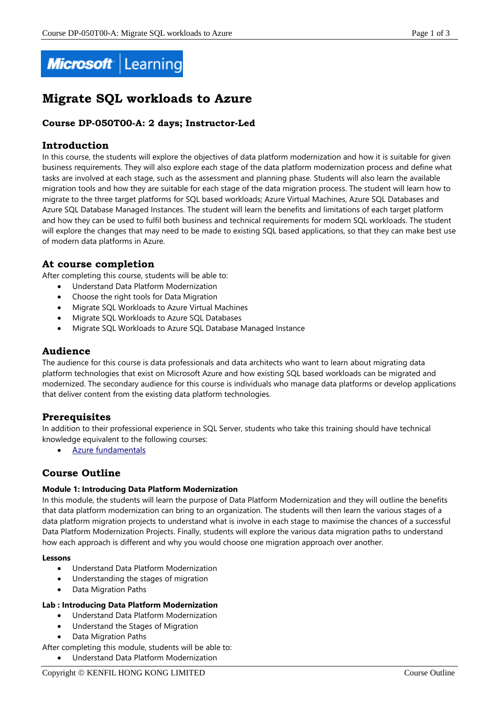

# **Migrate SQL workloads to Azure**

# **Course DP-050T00-A: 2 days; Instructor-Led**

# **Introduction**

In this course, the students will explore the objectives of data platform modernization and how it is suitable for given business requirements. They will also explore each stage of the data platform modernization process and define what tasks are involved at each stage, such as the assessment and planning phase. Students will also learn the available migration tools and how they are suitable for each stage of the data migration process. The student will learn how to migrate to the three target platforms for SQL based workloads; Azure Virtual Machines, Azure SQL Databases and Azure SQL Database Managed Instances. The student will learn the benefits and limitations of each target platform and how they can be used to fulfil both business and technical requirements for modern SQL workloads. The student will explore the changes that may need to be made to existing SQL based applications, so that they can make best use of modern data platforms in Azure.

# **At course completion**

After completing this course, students will be able to:

- Understand Data Platform Modernization
- Choose the right tools for Data Migration
- Migrate SQL Workloads to Azure Virtual Machines
- Migrate SQL Workloads to Azure SQL Databases
- Migrate SQL Workloads to Azure SQL Database Managed Instance

# **Audience**

The audience for this course is data professionals and data architects who want to learn about migrating data platform technologies that exist on Microsoft Azure and how existing SQL based workloads can be migrated and modernized. The secondary audience for this course is individuals who manage data platforms or develop applications that deliver content from the existing data platform technologies.

# **Prerequisites**

In addition to their professional experience in SQL Server, students who take this training should have technical knowledge equivalent to the following courses:

Azure [fundamentals](https://docs.microsoft.com/en-us/learn/modules/welcome-to-azure/)

# **Course Outline**

# **Module 1: Introducing Data Platform Modernization**

In this module, the students will learn the purpose of Data Platform Modernization and they will outline the benefits that data platform modernization can bring to an organization. The students will then learn the various stages of a data platform migration projects to understand what is involve in each stage to maximise the chances of a successful Data Platform Modernization Projects. Finally, students will explore the various data migration paths to understand how each approach is different and why you would choose one migration approach over another.

#### **Lessons**

- Understand Data Platform Modernization
- Understanding the stages of migration
- Data Migration Paths

# **Lab : Introducing Data Platform Modernization**

- Understand Data Platform Modernization
- Understand the Stages of Migration
- Data Migration Paths
- After completing this module, students will be able to:
	- Understand Data Platform Modernization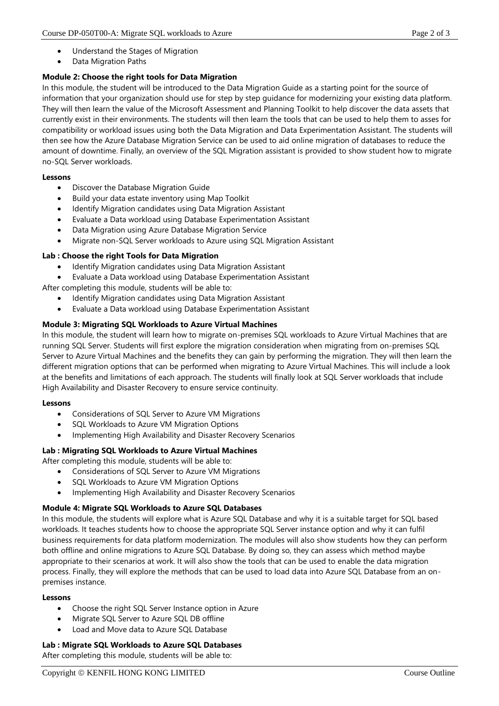- Understand the Stages of Migration
- Data Migration Paths

# **Module 2: Choose the right tools for Data Migration**

In this module, the student will be introduced to the Data Migration Guide as a starting point for the source of information that your organization should use for step by step guidance for modernizing your existing data platform. They will then learn the value of the Microsoft Assessment and Planning Toolkit to help discover the data assets that currently exist in their environments. The students will then learn the tools that can be used to help them to asses for compatibility or workload issues using both the Data Migration and Data Experimentation Assistant. The students will then see how the Azure Database Migration Service can be used to aid online migration of databases to reduce the amount of downtime. Finally, an overview of the SQL Migration assistant is provided to show student how to migrate no-SQL Server workloads.

# **Lessons**

- Discover the Database Migration Guide
- Build your data estate inventory using Map Toolkit
- Identify Migration candidates using Data Migration Assistant
- Evaluate a Data workload using Database Experimentation Assistant
- Data Migration using Azure Database Migration Service
- Migrate non-SQL Server workloads to Azure using SQL Migration Assistant

# **Lab : Choose the right Tools for Data Migration**

- Identify Migration candidates using Data Migration Assistant
- Evaluate a Data workload using Database Experimentation Assistant

After completing this module, students will be able to:

- Identify Migration candidates using Data Migration Assistant
- Evaluate a Data workload using Database Experimentation Assistant

# **Module 3: Migrating SQL Workloads to Azure Virtual Machines**

In this module, the student will learn how to migrate on-premises SQL workloads to Azure Virtual Machines that are running SQL Server. Students will first explore the migration consideration when migrating from on-premises SQL Server to Azure Virtual Machines and the benefits they can gain by performing the migration. They will then learn the different migration options that can be performed when migrating to Azure Virtual Machines. This will include a look at the benefits and limitations of each approach. The students will finally look at SQL Server workloads that include High Availability and Disaster Recovery to ensure service continuity.

# **Lessons**

- Considerations of SQL Server to Azure VM Migrations
- SQL Workloads to Azure VM Migration Options
- Implementing High Availability and Disaster Recovery Scenarios

# **Lab : Migrating SQL Workloads to Azure Virtual Machines**

After completing this module, students will be able to:

- Considerations of SQL Server to Azure VM Migrations
- SQL Workloads to Azure VM Migration Options
- Implementing High Availability and Disaster Recovery Scenarios

# **Module 4: Migrate SQL Workloads to Azure SQL Databases**

In this module, the students will explore what is Azure SQL Database and why it is a suitable target for SQL based workloads. It teaches students how to choose the appropriate SQL Server instance option and why it can fulfil business requirements for data platform modernization. The modules will also show students how they can perform both offline and online migrations to Azure SQL Database. By doing so, they can assess which method maybe appropriate to their scenarios at work. It will also show the tools that can be used to enable the data migration process. Finally, they will explore the methods that can be used to load data into Azure SQL Database from an onpremises instance.

# **Lessons**

- Choose the right SQL Server Instance option in Azure
- Migrate SQL Server to Azure SQL DB offline
- Load and Move data to Azure SQL Database

# **Lab : Migrate SQL Workloads to Azure SQL Databases**

After completing this module, students will be able to: